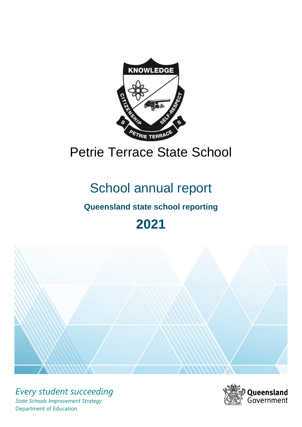

# Petrie Terrace State School

# School annual report

# **Queensland state school reporting**

# **2021**



*Every student succeeding State Schools Improvement Strategy* Department of Education

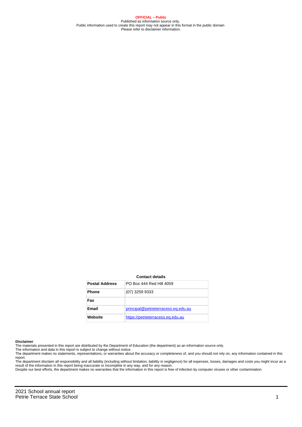**OFFICIAL – Public** Published as information source only. Public information used to create this report may not appear in this format in the public domain Please refer to disclaimer information.

#### **Contact details**

| <b>Postal Address</b> | PO Box 444 Red Hill 4059            |
|-----------------------|-------------------------------------|
| <b>Phone</b>          | (07) 3259 9333                      |
| Fax                   |                                     |
| Email                 | principal@petrieterracess.eq.edu.au |
| Website               | https://petrieterracess.eq.edu.au   |

#### **Disclaimer**

The materials presented in this report are distributed by the Department of Education (the department) as an information source only.

The information and data in this report is subject to change without notice.<br>The department makes no statements, representations, or warranties about the accuracy or completeness of, and you should not rely on, any informa report.

The department disclaim all responsibility and all liability (including without limitation, liability in negligence) for all expenses, losses, damages and costs you might incur as a result of the information in this report being inaccurate or incomplete in any way, and for any reason.

Despite our best efforts, the department makes no warranties that the information in this report is free of infection by computer viruses or other contamination.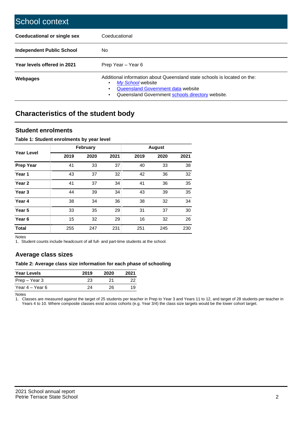| School context                   |                                                                                                                                                                                              |
|----------------------------------|----------------------------------------------------------------------------------------------------------------------------------------------------------------------------------------------|
| Coeducational or single sex      | Coeducational                                                                                                                                                                                |
| <b>Independent Public School</b> | No.                                                                                                                                                                                          |
| Year levels offered in 2021      | Prep Year - Year 6                                                                                                                                                                           |
| Webpages                         | Additional information about Queensland state schools is located on the:<br>My School website<br>Queensland Government data website<br>Queensland Government schools directory website.<br>٠ |

# **Characteristics of the student body**

### **Student enrolments**

#### **Table 1: Student enrolments by year level**

|                   |      | <b>February</b> |      |      | <b>August</b> |      |
|-------------------|------|-----------------|------|------|---------------|------|
| <b>Year Level</b> | 2019 | 2020            | 2021 | 2019 | 2020          | 2021 |
| <b>Prep Year</b>  | 41   | 33              | 37   | 40   | 33            | 38   |
| Year 1            | 43   | 37              | 32   | 42   | 36            | 32   |
| Year 2            | 41   | 37              | 34   | 41   | 36            | 35   |
| Year <sub>3</sub> | 44   | 39              | 34   | 43   | 39            | 35   |
| Year 4            | 38   | 34              | 36   | 38   | 32            | 34   |
| Year <sub>5</sub> | 33   | 35              | 29   | 31   | 37            | 30   |
| Year <sub>6</sub> | 15   | 32              | 29   | 16   | 32            | 26   |
| <b>Total</b>      | 255  | 247             | 231  | 251  | 245           | 230  |

Notes

1. Student counts include headcount of all full- and part-time students at the school.

## **Average class sizes**

#### **Table 2: Average class size information for each phase of schooling**

| <b>Year Levels</b> | 2019 | 2020 | 2021 |
|--------------------|------|------|------|
| Prep – Year 3      | 23   | 21   | 22   |
| Year 4 – Year 6    | 24   | 26.  | 19   |

Notes

1. Classes are measured against the target of 25 students per teacher in Prep to Year 3 and Years 11 to 12, and target of 28 students per teacher in Years 4 to 10. Where composite classes exist across cohorts (e.g. Year 3/4) the class size targets would be the lower cohort target.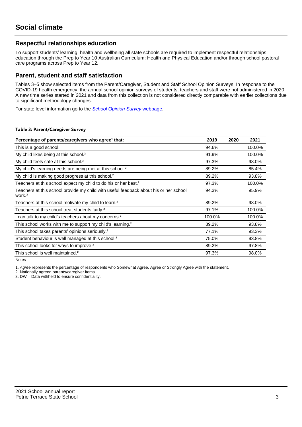## **Respectful relationships education**

To support students' learning, health and wellbeing all state schools are required to implement respectful relationships education through the Prep to Year 10 Australian Curriculum: Health and Physical Education and/or through school pastoral care programs across Prep to Year 12.

### **Parent, student and staff satisfaction**

Tables 3–5 show selected items from the Parent/Caregiver, Student and Staff School Opinion Surveys. In response to the COVID-19 health emergency, the annual school opinion surveys of students, teachers and staff were not administered in 2020. A new time series started in 2021 and data from this collection is not considered directly comparable with earlier collections due to significant methodology changes.

For state level information go to the **[School Opinion Survey](https://qed.qld.gov.au/publications/reports/statistics/schooling/schools/schoolopinionsurvey) webpage**.

#### **Table 3: Parent/Caregiver Survey**

| Percentage of parents/caregivers who agree <sup>1</sup> that:                                               | 2019   | 2020 | 2021   |
|-------------------------------------------------------------------------------------------------------------|--------|------|--------|
| This is a good school.                                                                                      | 94.6%  |      | 100.0% |
| My child likes being at this school. <sup>2</sup>                                                           | 91.9%  |      | 100.0% |
| My child feels safe at this school. <sup>2</sup>                                                            | 97.3%  |      | 98.0%  |
| My child's learning needs are being met at this school. <sup>2</sup>                                        | 89.2%  |      | 85.4%  |
| My child is making good progress at this school. <sup>2</sup>                                               | 89.2%  |      | 93.8%  |
| Teachers at this school expect my child to do his or her best. <sup>2</sup>                                 | 97.3%  |      | 100.0% |
| Teachers at this school provide my child with useful feedback about his or her school<br>work. <sup>2</sup> | 94.3%  |      | 95.9%  |
| Teachers at this school motivate my child to learn. <sup>2</sup>                                            | 89.2%  |      | 98.0%  |
| Teachers at this school treat students fairly. <sup>2</sup>                                                 | 97.1%  |      | 100.0% |
| can talk to my child's teachers about my concerns. <sup>2</sup>                                             | 100.0% |      | 100.0% |
| This school works with me to support my child's learning. <sup>2</sup>                                      | 89.2%  |      | 93.8%  |
| This school takes parents' opinions seriously. <sup>2</sup>                                                 | 77.1%  |      | 93.3%  |
| Student behaviour is well managed at this school. <sup>2</sup>                                              | 75.0%  |      | 93.8%  |
| This school looks for ways to improve. <sup>2</sup>                                                         | 89.2%  |      | 97.8%  |
| This school is well maintained. <sup>2</sup>                                                                | 97.3%  |      | 98.0%  |

Notes

1. Agree represents the percentage of respondents who Somewhat Agree, Agree or Strongly Agree with the statement.

2. Nationally agreed parents/caregiver items.

3. DW = Data withheld to ensure confidentiality.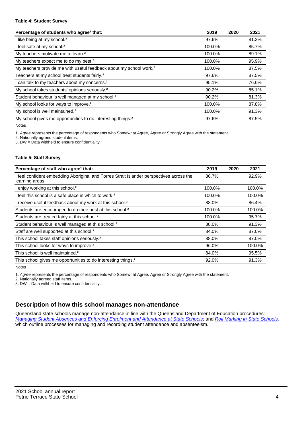#### **Table 4: Student Survey**

| Percentage of students who agree <sup>1</sup> that:                            | 2019   | 2020 | 2021  |
|--------------------------------------------------------------------------------|--------|------|-------|
| I like being at my school. <sup>2</sup>                                        | 97.6%  |      | 81.3% |
| I feel safe at my school. <sup>2</sup>                                         | 100.0% |      | 85.7% |
| My teachers motivate me to learn. <sup>2</sup>                                 | 100.0% |      | 89.1% |
| My teachers expect me to do my best. <sup>2</sup>                              | 100.0% |      | 95.9% |
| My teachers provide me with useful feedback about my school work. <sup>2</sup> | 100.0% |      | 87.5% |
| Teachers at my school treat students fairly. <sup>2</sup>                      | 97.6%  |      | 87.5% |
| I can talk to my teachers about my concerns. <sup>2</sup>                      | 95.1%  |      | 76.6% |
| My school takes students' opinions seriously. <sup>2</sup>                     | 90.2%  |      | 85.1% |
| Student behaviour is well managed at my school. <sup>2</sup>                   | 90.2%  |      | 81.3% |
| My school looks for ways to improve. <sup>2</sup>                              | 100.0% |      | 87.8% |
| My school is well maintained. <sup>2</sup>                                     | 100.0% |      | 91.3% |
| My school gives me opportunities to do interesting things. <sup>2</sup>        | 97.6%  |      | 87.5% |

Notes

1. Agree represents the percentage of respondents who Somewhat Agree, Agree or Strongly Agree with the statement.

2. Nationally agreed student items.

3. DW = Data withheld to ensure confidentiality.

#### **Table 5: Staff Survey**

| Percentage of staff who agree <sup>1</sup> that:                                                            | 2019   | 2020 | 2021   |
|-------------------------------------------------------------------------------------------------------------|--------|------|--------|
| I feel confident embedding Aboriginal and Torres Strait Islander perspectives across the<br>learning areas. | 86.7%  |      | 92.9%  |
| I enjoy working at this school. <sup>2</sup>                                                                | 100.0% |      | 100.0% |
| I feel this school is a safe place in which to work. <sup>2</sup>                                           | 100.0% |      | 100.0% |
| I receive useful feedback about my work at this school. <sup>2</sup>                                        | 88.0%  |      | 86.4%  |
| Students are encouraged to do their best at this school. <sup>2</sup>                                       | 100.0% |      | 100.0% |
| Students are treated fairly at this school. <sup>2</sup>                                                    | 100.0% |      | 95.7%  |
| Student behaviour is well managed at this school. <sup>2</sup>                                              | 88.0%  |      | 91.3%  |
| Staff are well supported at this school. <sup>2</sup>                                                       | 84.0%  |      | 87.0%  |
| This school takes staff opinions seriously. <sup>2</sup>                                                    | 88.0%  |      | 87.0%  |
| This school looks for ways to improve. <sup>2</sup>                                                         | 96.0%  |      | 100.0% |
| This school is well maintained. <sup>2</sup>                                                                | 84.0%  |      | 95.5%  |
| This school gives me opportunities to do interesting things. <sup>2</sup>                                   | 92.0%  |      | 91.3%  |

Notes

1. Agree represents the percentage of respondents who Somewhat Agree, Agree or Strongly Agree with the statement.

2. Nationally agreed staff items.

3. DW = Data withheld to ensure confidentiality.

## **Description of how this school manages non-attendance**

Queensland state schools manage non-attendance in line with the Queensland Department of Education procedures: [Managing Student Absences and Enforcing Enrolment and Attendance at State Schools](https://ppr.qed.qld.gov.au/pp/managing-student-absences-and-enforcing-enrolment-and-attendance-at-state-schools-procedure); and [Roll Marking in State Schools,](https://ppr.qed.qld.gov.au/pp/roll-marking-in-state-schools-procedure) which outline processes for managing and recording student attendance and absenteeism.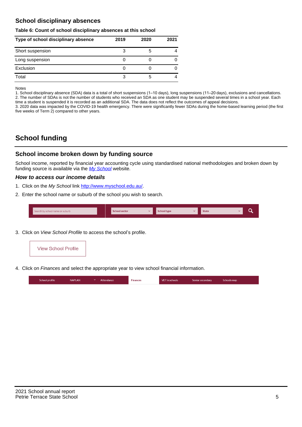## **School disciplinary absences**

#### **Table 6: Count of school disciplinary absences at this school**

| Type of school disciplinary absence | 2019 | 2020 | 2021 |
|-------------------------------------|------|------|------|
| Short suspension                    | 3    | G    |      |
| Long suspension                     |      |      |      |
| Exclusion                           |      |      |      |
| Total                               |      | b    |      |

Notes

1. School disciplinary absence (SDA) data is a total of short suspensions (1–10 days), long suspensions (11–20 days), exclusions and cancellations. 2. The number of SDAs is not the number of students who received an SDA as one student may be suspended several times in a school year. Each time a student is suspended it is recorded as an additional SDA. The data does not reflect the outcomes of appeal decisions.

3. 2020 data was impacted by the COVID-19 health emergency. There were significantly fewer SDAs during the home-based learning period (the first five weeks of Term 2) compared to other years.

# **School funding**

### **School income broken down by funding source**

School income, reported by financial year accounting cycle using standardised national methodologies and broken down by funding source is available via the  $My$  School website.

#### **How to access our income details**

- 1. Click on the My School link <http://www.myschool.edu.au/>.
- 2. Enter the school name or suburb of the school you wish to search.

|  | Search by school name or suburb |  | <b>School sector</b> |  | $\sim$ and $\sim$ represents the set of $\sim$ | <b>State</b> |  |  |  |
|--|---------------------------------|--|----------------------|--|------------------------------------------------|--------------|--|--|--|
|--|---------------------------------|--|----------------------|--|------------------------------------------------|--------------|--|--|--|

3. Click on View School Profile to access the school's profile.



4. Click on Finances and select the appropriate year to view school financial information.

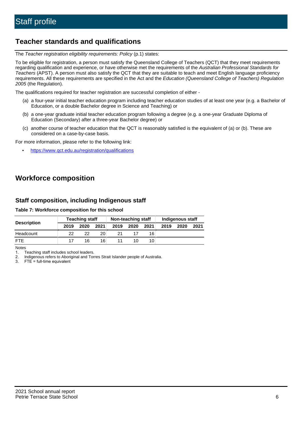# **Teacher standards and qualifications**

The Teacher registration eligibility requirements: Policy (p.1) states:

To be eligible for registration, a person must satisfy the Queensland College of Teachers (QCT) that they meet requirements regarding qualification and experience, or have otherwise met the requirements of the Australian Professional Standards for Teachers (APST). A person must also satisfy the QCT that they are suitable to teach and meet English language proficiency requirements. All these requirements are specified in the Act and the Education (Queensland College of Teachers) Regulation 2005 (the Regulation).

The qualifications required for teacher registration are successful completion of either -

- (a) a four-year initial teacher education program including teacher education studies of at least one year (e.g. a Bachelor of Education, or a double Bachelor degree in Science and Teaching) or
- (b) a one-year graduate initial teacher education program following a degree (e.g. a one-year Graduate Diploma of Education (Secondary) after a three-year Bachelor degree) or
- (c) another course of teacher education that the QCT is reasonably satisfied is the equivalent of (a) or (b). These are considered on a case-by-case basis.

For more information, please refer to the following link:

• <https://www.qct.edu.au/registration/qualifications>

# **Workforce composition**

## **Staff composition, including Indigenous staff**

#### **Table 7: Workforce composition for this school**

|                    | <b>Teaching staff</b><br>Non-teaching staff |      |      | Indigenous staff |      |                 |      |      |      |
|--------------------|---------------------------------------------|------|------|------------------|------|-----------------|------|------|------|
| <b>Description</b> | 2019                                        | 2020 | 2021 | 2019             | 2020 | 2021            | 2019 | 2020 | 2021 |
| Headcount          | 22                                          | 22   | 20   | 21               |      | 16              |      |      |      |
| <b>FTE</b>         | 17                                          | 16   | 16   |                  | 10   | 10 <sub>1</sub> |      |      |      |

Notes

1. Teaching staff includes school leaders.

2. Indigenous refers to Aboriginal and Torres Strait Islander people of Australia.

3. FTE = full-time equivalent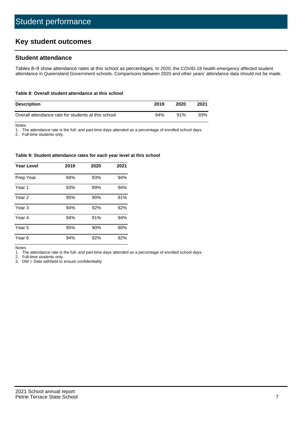# **Key student outcomes**

## **Student attendance**

Tables 8–9 show attendance rates at this school as percentages. In 2020, the COVID-19 health emergency affected student attendance in Queensland Government schools. Comparisons between 2020 and other years' attendance data should not be made.

#### **Table 8: Overall student attendance at this school**

| <b>Description</b>                                  | 2019 | 2020 | 2021 |
|-----------------------------------------------------|------|------|------|
| Overall attendance rate for students at this school | 94%  | 91%  | 93%  |

Notes

1. The attendance rate is the full- and part-time days attended as a percentage of enrolled school days.

2. Full-time students only.

#### **Table 9: Student attendance rates for each year level at this school**

| <b>Year Level</b> | 2019 | 2020 | 2021 |
|-------------------|------|------|------|
| Prep Year         | 94%  | 93%  | 94%  |
| Year <sub>1</sub> | 93%  | 89%  | 94%  |
| Year 2            | 95%  | 90%  | 91%  |
| Year 3            | 94%  | 92%  | 92%  |
| Year 4            | 94%  | 91%  | 94%  |
| Year 5            | 95%  | 90%  | 90%  |
| Year <sub>6</sub> | 94%  | 92%  | 92%  |

Notes

1. The attendance rate is the full- and part-time days attended as a percentage of enrolled school days.

2. Full-time students only.

3. DW = Data withheld to ensure confidentiality